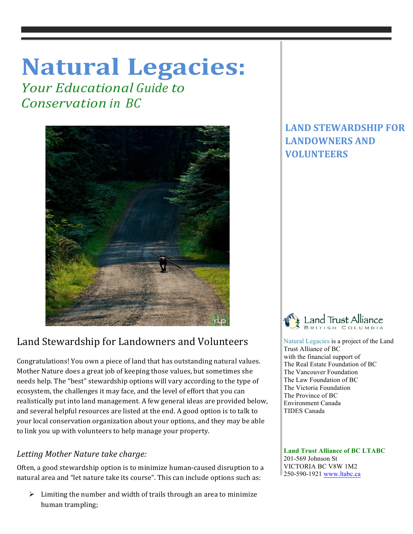# **Natural Legacies:**

*<u>Your Educational Guide to</u> Conservation in BC*



## Land Stewardship for Landowners and Volunteers

Congratulations! You own a piece of land that has outstanding natural values. Mother Nature does a great job of keeping those values, but sometimes she needs help. The "best" stewardship options will vary according to the type of ecosystem, the challenges it may face, and the level of effort that you can realistically put into land management. A few general ideas are provided below, and several helpful resources are listed at the end. A good option is to talk to your local conservation organization about your options, and they may be able to link you up with volunteers to help manage your property.

## Letting Mother Nature take charge:

Often, a good stewardship option is to minimize human-caused disruption to a natural area and "let nature take its course". This can include options such as:

 $\triangleright$  Limiting the number and width of trails through an area to minimize human trampling;

## **LAND STEWARDSHIP FOR LANDOWNERS AND VOLUNTEERS**



 Natural Legacies is a project of the Land Trust Alliance of BC with the financial support of The Real Estate Foundation of BC The Vancouver Foundation The Law Foundation of BC The Victoria Foundation The Province of BC Environment Canada TIDES Canada

 **Land Trust Alliance of BC LTABC** 201-569 Johnson St VICTORIA BC V8W 1M2 250-590-1921 www.ltabc.ca